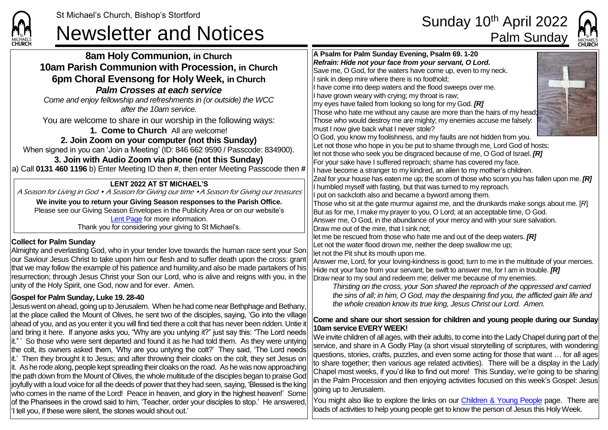

## St Michael's Church, Bishop's Stortford<br> **Sunday 10<sup>th</sup> April 2022**<br>
Palm Sunday



**8am Holy Communion, in Church 10am Parish Communion with Procession, in Church 6pm Choral Evensong for Holy Week, in Church** *Palm Crosses at each service Come and enjoy fellowship and refreshments in (or outside) the WCC after the 10am service.* You are welcome to share in our worship in the following ways: **1. Come to Church** All are welcome! **2. Join Zoom on your computer (not this Sunday)** When signed in you can 'Join a Meeting' (ID: 846 662 9590 / Passcode: 834900). **3. Join with Audio Zoom via phone (not this Sunday)** a) Call **0131 460 1196** b) Enter Meeting ID then **#**, then enter Meeting Passcode then **# Collect for Palm Sunday** Almighty and everlasting God, who in your tender love towards the human race sent your Son our Saviour Jesus Christ to take upon him our flesh and to suffer death upon the cross: grant that we may follow the example of his patience and humility,and also be made partakers of his resurrection; through Jesus Christ your Son our Lord, who is alive and reigns with you, in the unity of the Holy Spirit, one God, now and for ever. Amen. **Gospel for Palm Sunday, Luke 19. 28-40** Jesus went on ahead, going up to Jerusalem. When he had come near Bethphage and Bethany, at the place called the Mount of Olives, he sent two of the disciples, saying, 'Go into the village ahead of you, and as you enter it you will find tied there a colt that has never been ridden. Untie it and bring it here. If anyone asks you, "Why are you untying it?" just say this: "The Lord needs it." ' So those who were sent departed and found it as he had told them. As they were untying the colt, its owners asked them, 'Why are you untying the colt?' They said, 'The Lord needs it.' Then they brought it to Jesus; and after throwing their cloaks on the colt, they set Jesus on it. As he rode along, people kept spreading their cloaks on the road. As he was now approaching the path down from the Mount of Olives, the whole multitude of the disciples began to praise God joyfully with a loud voice for all the deeds of power that they had seen, saying, 'Blessed is the king who comes in the name of the Lord! Peace in heaven, and glory in the highest heaven!' Some of the Pharisees in the crowd said to him, 'Teacher, order your disciples to stop.' He answered, 'I tell you, if these were silent, the stones would shout out.' **A Psalm for Palm Sunday Evening, Psalm 69. 1-20** *Refrain: Hide not your face from your servant, O Lord.* Save me, O God, for the waters have come up, even to my neck. I sink in deep mire where there is no foothold; I have come into deep waters and the flood sweeps over me. I have grown weary with crying; my throat is raw; my eyes have failed from looking so long for my God. *[R]* Those who hate me without any cause are more than the hairs of my head; Those who would destroy me are mighty; my enemies accuse me falsely: must I now give back what I never stole? O God, you know my foolishness, and my faults are not hidden from you. Let not those who hope in you be put to shame through me, Lord God of hosts; let not those who seek you be disgraced because of me, O God of Israel. *[R]* For your sake have I suffered reproach; shame has covered my face. I have become a stranger to my kindred, an alien to my mother's children. Zeal for your house has eaten me up; the scorn of those who scorn you has fallen upon me. *[R]* I humbled myself with fasting, but that was turned to my reproach. I put on sackcloth also and became a byword among them. Those who sit at the gate murmur against me, and the drunkards make songs about me. [*R*] But as for me, I make my prayer to you, O Lord; at an acceptable time, O God. Answer me, O God, in the abundance of your mercy and with your sure salvation. Draw me out of the mire, that I sink not; let me be rescued from those who hate me and out of the deep waters. *[R]* Let not the water flood drown me, neither the deep swallow me up; let not the Pit shut its mouth upon me. Answer me, Lord, for your loving-kindness is good; turn to me in the multitude of your mercies. Hide not your face from your servant; be swift to answer me, for I am in trouble. *[R]* Draw near to my soul and redeem me; deliver me because of my enemies. *Thirsting on the cross, your Son shared the reproach of the oppressed and carried the sins of all; in him, O God, may the despairing find you, the afflicted gain life and the whole creation know its true king, Jesus Christ our Lord. Amen.* **Come and share our short session for children and young people during our Sunday 10am service EVERY WEEK!** We invite children of all ages, with their adults, to come into the Lady Chapel during part of the service, and share in A Godly Play (a short visual storytelling of scriptures, with wondering questions, stories, crafts, puzzles, and even some acting for those that want … for all ages to share together; then various age related activities). There will be a display in the Lady Chapel most weeks, if you'd like to find out more! This Sunday, we're going to be sharing in the Palm Procession and then enjoying activities focused on this week's Gospel: Jesus going up to Jerusalem. You might also like to explore the links on our [Children & Young People](https://saintmichaelweb.org.uk/Groups/310496/Children_and_Young.aspx) page. There are loads of activities to help young people get to know the person of Jesus this Holy Week. **LENT 2022 AT ST MICHAEL'S** A Season for Living in God • A Season for Giving our time •A Season for Giving our treasures **We invite you to return your Giving Season responses to the Parish Office.** Please see our Giving Season Envelopes in the Publicity Area or on our website's [Lent Page](https://saintmichaelweb.org.uk/Groups/356592/Lent_and_Easter.aspx) for more information. Thank you for considering your giving to St Michael's.